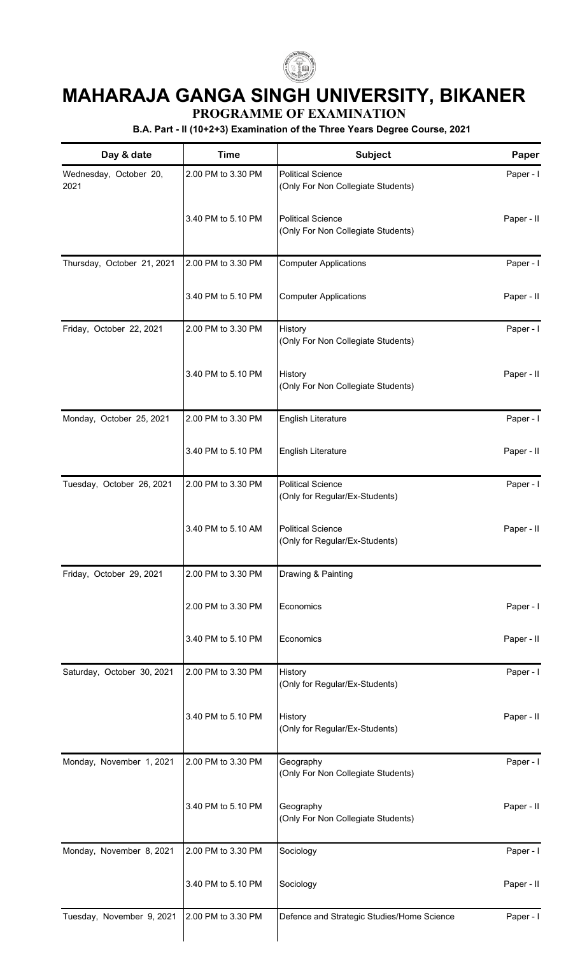

## **MAHARAJA GANGA SINGH UNIVERSITY, BIKANER**

**PROGRAMME OF EXAMINATION**

**B.A. Part - II (10+2+3) Examination of the Three Years Degree Course, 2021**

| Day & date                     | <b>Time</b>        | Subject                                                        | Paper      |
|--------------------------------|--------------------|----------------------------------------------------------------|------------|
| Wednesday, October 20,<br>2021 | 2.00 PM to 3.30 PM | <b>Political Science</b><br>(Only For Non Collegiate Students) | Paper - I  |
|                                | 3.40 PM to 5.10 PM | <b>Political Science</b><br>(Only For Non Collegiate Students) | Paper - II |
| Thursday, October 21, 2021     | 2.00 PM to 3.30 PM | <b>Computer Applications</b>                                   | Paper - I  |
|                                | 3.40 PM to 5.10 PM | <b>Computer Applications</b>                                   | Paper - II |
| Friday, October 22, 2021       | 2.00 PM to 3.30 PM | History<br>(Only For Non Collegiate Students)                  | Paper - I  |
|                                | 3.40 PM to 5.10 PM | History<br>(Only For Non Collegiate Students)                  | Paper - II |
| Monday, October 25, 2021       | 2.00 PM to 3.30 PM | English Literature                                             | Paper - I  |
|                                | 3.40 PM to 5.10 PM | English Literature                                             | Paper - II |
| Tuesday, October 26, 2021      | 2.00 PM to 3.30 PM | <b>Political Science</b><br>(Only for Regular/Ex-Students)     | Paper - I  |
|                                | 3.40 PM to 5.10 AM | <b>Political Science</b><br>(Only for Regular/Ex-Students)     | Paper - II |
| Friday, October 29, 2021       | 2.00 PM to 3.30 PM | Drawing & Painting                                             |            |
|                                | 2.00 PM to 3.30 PM | Economics                                                      | Paper - I  |
|                                | 3.40 PM to 5.10 PM | Economics                                                      | Paper - II |
| Saturday, October 30, 2021     | 2.00 PM to 3.30 PM | History<br>(Only for Regular/Ex-Students)                      | Paper - I  |
|                                | 3.40 PM to 5.10 PM | History<br>(Only for Regular/Ex-Students)                      | Paper - II |
| Monday, November 1, 2021       | 2.00 PM to 3.30 PM | Geography<br>(Only For Non Collegiate Students)                | Paper - I  |
|                                | 3.40 PM to 5.10 PM | Geography<br>(Only For Non Collegiate Students)                | Paper - II |
| Monday, November 8, 2021       | 2.00 PM to 3.30 PM | Sociology                                                      | Paper - I  |
|                                | 3.40 PM to 5.10 PM | Sociology                                                      | Paper - II |
| Tuesday, November 9, 2021      | 2.00 PM to 3.30 PM | Defence and Strategic Studies/Home Science                     | Paper - I  |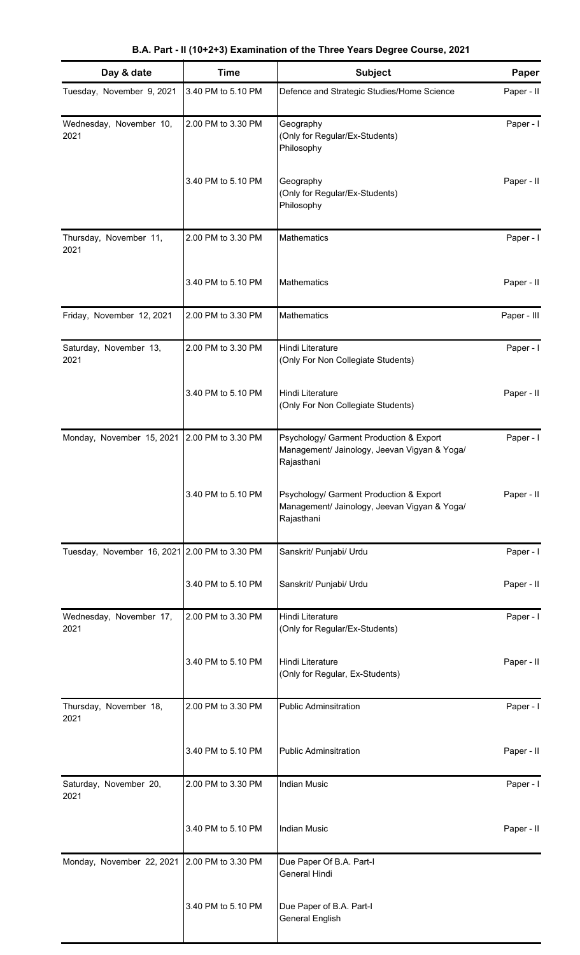|  |  | B.A. Part - II (10+2+3) Examination of the Three Years Degree Course, 2021 |  |  |  |  |  |  |
|--|--|----------------------------------------------------------------------------|--|--|--|--|--|--|
|--|--|----------------------------------------------------------------------------|--|--|--|--|--|--|

| Day & date                                    | <b>Time</b>        | Subject                                                                                               | Paper       |
|-----------------------------------------------|--------------------|-------------------------------------------------------------------------------------------------------|-------------|
| Tuesday, November 9, 2021                     | 3.40 PM to 5.10 PM | Defence and Strategic Studies/Home Science                                                            | Paper - II  |
| Wednesday, November 10,<br>2021               | 2.00 PM to 3.30 PM | Geography<br>(Only for Regular/Ex-Students)<br>Philosophy                                             | Paper - I   |
|                                               | 3.40 PM to 5.10 PM | Geography<br>(Only for Regular/Ex-Students)<br>Philosophy                                             | Paper - II  |
| Thursday, November 11,<br>2021                | 2.00 PM to 3.30 PM | Mathematics                                                                                           | Paper - I   |
|                                               | 3.40 PM to 5.10 PM | Mathematics                                                                                           | Paper - II  |
| Friday, November 12, 2021                     | 2.00 PM to 3.30 PM | Mathematics                                                                                           | Paper - III |
| Saturday, November 13,<br>2021                | 2.00 PM to 3.30 PM | Hindi Literature<br>(Only For Non Collegiate Students)                                                | Paper - I   |
|                                               | 3.40 PM to 5.10 PM | Hindi Literature<br>(Only For Non Collegiate Students)                                                | Paper - II  |
| Monday, November 15, 2021                     | 2.00 PM to 3.30 PM | Psychology/ Garment Production & Export<br>Management/ Jainology, Jeevan Vigyan & Yoga/<br>Rajasthani | Paper - I   |
|                                               | 3.40 PM to 5.10 PM | Psychology/ Garment Production & Export<br>Management/ Jainology, Jeevan Vigyan & Yoga/<br>Rajasthani | Paper - II  |
| Tuesday, November 16, 2021 2.00 PM to 3.30 PM |                    | Sanskrit/ Punjabi/ Urdu                                                                               | Paper - I   |
|                                               | 3.40 PM to 5.10 PM | Sanskrit/ Punjabi/ Urdu                                                                               | Paper - II  |
| Wednesday, November 17,<br>2021               | 2.00 PM to 3.30 PM | Hindi Literature<br>(Only for Regular/Ex-Students)                                                    | Paper - I   |
|                                               | 3.40 PM to 5.10 PM | Hindi Literature<br>(Only for Regular, Ex-Students)                                                   | Paper - II  |
| Thursday, November 18,<br>2021                | 2.00 PM to 3.30 PM | <b>Public Adminsitration</b>                                                                          | Paper - I   |
|                                               | 3.40 PM to 5.10 PM | <b>Public Adminsitration</b>                                                                          | Paper - II  |
| Saturday, November 20,<br>2021                | 2.00 PM to 3.30 PM | <b>Indian Music</b>                                                                                   | Paper - I   |
|                                               | 3.40 PM to 5.10 PM | <b>Indian Music</b>                                                                                   | Paper - II  |
| Monday, November 22, 2021                     | 2.00 PM to 3.30 PM | Due Paper Of B.A. Part-I<br>General Hindi                                                             |             |
|                                               | 3.40 PM to 5.10 PM | Due Paper of B.A. Part-I<br><b>General English</b>                                                    |             |